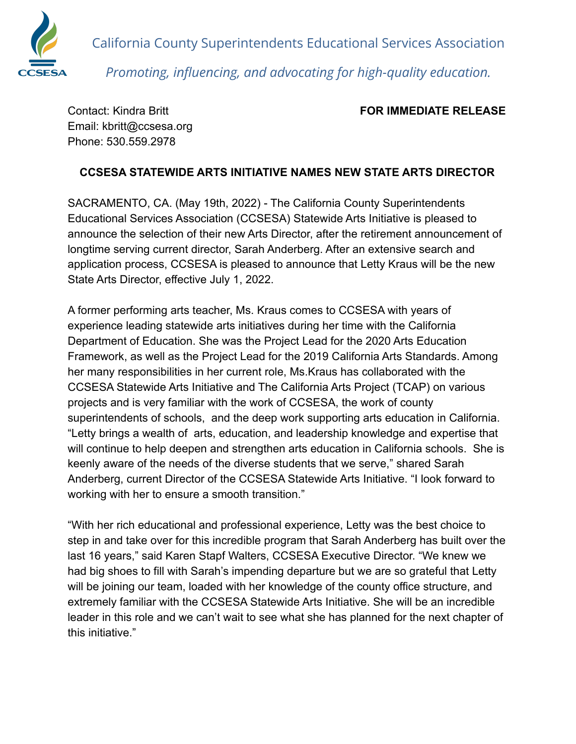

California County Superintendents Educational Services Association *Promoting, influencing, and advocating for high-quality education.*

Email: kbritt@ccsesa.org Phone: 530.559.2978

## Contact: Kindra Britt **FOR IMMEDIATE RELEASE**

## **CCSESA STATEWIDE ARTS INITIATIVE NAMES NEW STATE ARTS DIRECTOR**

SACRAMENTO, CA. (May 19th, 2022) - The California County Superintendents Educational Services Association (CCSESA) Statewide Arts Initiative is pleased to announce the selection of their new Arts Director, after the retirement announcement of longtime serving current director, Sarah Anderberg. After an extensive search and application process, CCSESA is pleased to announce that Letty Kraus will be the new State Arts Director, effective July 1, 2022.

A former performing arts teacher, Ms. Kraus comes to CCSESA with years of experience leading statewide arts initiatives during her time with the California Department of Education. She was the Project Lead for the 2020 Arts Education Framework, as well as the Project Lead for the 2019 California Arts Standards. Among her many responsibilities in her current role, Ms.Kraus has collaborated with the CCSESA Statewide Arts Initiative and The California Arts Project (TCAP) on various projects and is very familiar with the work of CCSESA, the work of county superintendents of schools, and the deep work supporting arts education in California. "Letty brings a wealth of arts, education, and leadership knowledge and expertise that will continue to help deepen and strengthen arts education in California schools. She is keenly aware of the needs of the diverse students that we serve," shared Sarah Anderberg, current Director of the CCSESA Statewide Arts Initiative. "I look forward to working with her to ensure a smooth transition."

"With her rich educational and professional experience, Letty was the best choice to step in and take over for this incredible program that Sarah Anderberg has built over the last 16 years," said Karen Stapf Walters, CCSESA Executive Director. "We knew we had big shoes to fill with Sarah's impending departure but we are so grateful that Letty will be joining our team, loaded with her knowledge of the county office structure, and extremely familiar with the CCSESA Statewide Arts Initiative. She will be an incredible leader in this role and we can't wait to see what she has planned for the next chapter of this initiative."